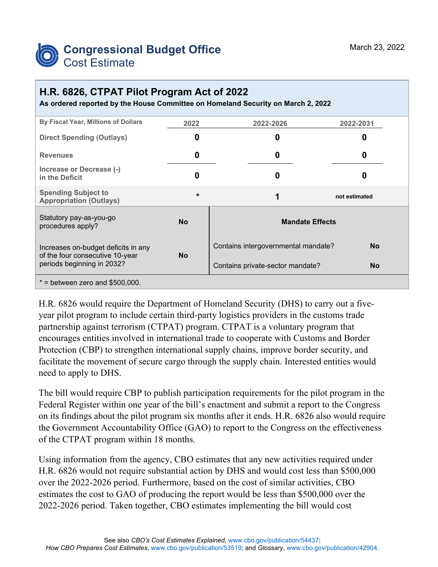

## **H.R. 6826, CTPAT Pilot Program Act of 2022**

**As ordered reported by the House Committee on Homeland Security on March 2, 2022**

| By Fiscal Year, Millions of Dollars                                                                  | 2022      | 2022-2026                           | 2022-2031     |
|------------------------------------------------------------------------------------------------------|-----------|-------------------------------------|---------------|
| <b>Direct Spending (Outlays)</b>                                                                     | O         | 0                                   | 0             |
| <b>Revenues</b>                                                                                      | 0         | 0                                   | O             |
| Increase or Decrease (-)<br>in the Deficit                                                           | 0         | 0                                   |               |
| <b>Spending Subject to</b><br><b>Appropriation (Outlays)</b>                                         | $\star$   | 1                                   | not estimated |
| Statutory pay-as-you-go<br>procedures apply?                                                         | <b>No</b> | <b>Mandate Effects</b>              |               |
| Increases on-budget deficits in any<br>of the four consecutive 10-year<br>periods beginning in 2032? | <b>No</b> | Contains intergovernmental mandate? | <b>No</b>     |
|                                                                                                      |           | Contains private-sector mandate?    | <b>No</b>     |
| $*$ = between zero and \$500,000.                                                                    |           |                                     |               |

H.R. 6826 would require the Department of Homeland Security (DHS) to carry out a fiveyear pilot program to include certain third-party logistics providers in the customs trade partnership against terrorism (CTPAT) program. CTPAT is a voluntary program that encourages entities involved in international trade to cooperate with Customs and Border Protection (CBP) to strengthen international supply chains, improve border security, and facilitate the movement of secure cargo through the supply chain. Interested entities would need to apply to DHS.

The bill would require CBP to publish participation requirements for the pilot program in the Federal Register within one year of the bill's enactment and submit a report to the Congress on its findings about the pilot program six months after it ends. H.R. 6826 also would require the Government Accountability Office (GAO) to report to the Congress on the effectiveness of the CTPAT program within 18 months.

Using information from the agency, CBO estimates that any new activities required under H.R. 6826 would not require substantial action by DHS and would cost less than \$500,000 over the 2022-2026 period. Furthermore, based on the cost of similar activities, CBO estimates the cost to GAO of producing the report would be less than \$500,000 over the 2022-2026 period. Taken together, CBO estimates implementing the bill would cost